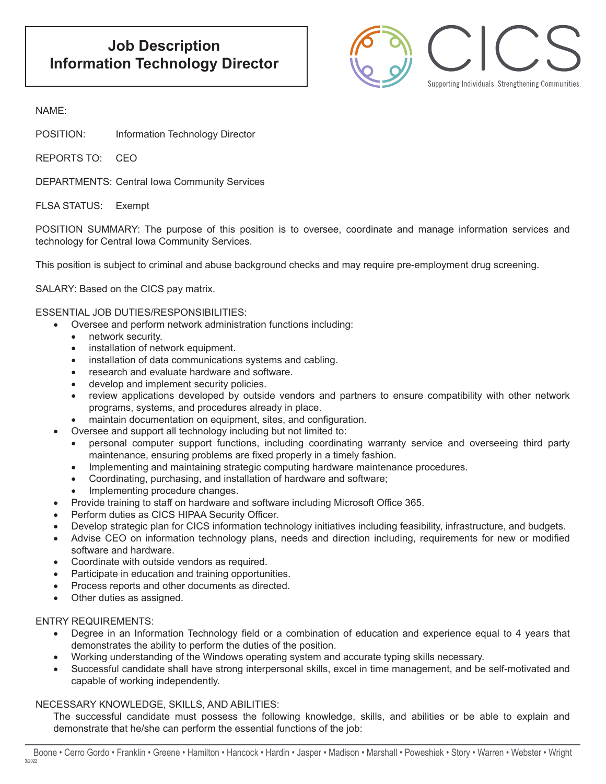

## NAME:

POSITION: Information Technology Director

REPORTS TO: CEO

DEPARTMENTS: Central Iowa Community Services

FLSA STATUS: Exempt

POSITION SUMMARY: The purpose of this position is to oversee, coordinate and manage information services and technology for Central Iowa Community Services.

This position is subject to criminal and abuse background checks and may require pre-employment drug screening.

SALARY: Based on the CICS pay matrix.

ESSENTIAL JOB DUTIES/RESPONSIBILITIES:

- Oversee and perform network administration functions including:
- network security.
- • installation of network equipment.
- installation of data communications systems and cabling.
- research and evaluate hardware and software.
- develop and implement security policies.
- review applications developed by outside vendors and partners to ensure compatibility with other network programs, systems, and procedures already in place.
- maintain documentation on equipment, sites, and configuration.
- Oversee and support all technology including but not limited to:
	- personal computer support functions, including coordinating warranty service and overseeing third party maintenance, ensuring problems are fixed properly in a timely fashion.
	- Implementing and maintaining strategic computing hardware maintenance procedures.
	- Coordinating, purchasing, and installation of hardware and software;
	- Implementing procedure changes.
- Provide training to staff on hardware and software including Microsoft Office 365.
- Perform duties as CICS HIPAA Security Officer.
- Develop strategic plan for CICS information technology initiatives including feasibility, infrastructure, and budgets.
- Advise CEO on information technology plans, needs and direction including, requirements for new or modified software and hardware.
- Coordinate with outside vendors as required.
- Participate in education and training opportunities.
- Process reports and other documents as directed.
- Other duties as assigned.

### ENTRY REQUIREMENTS:

- Degree in an Information Technology field or a combination of education and experience equal to 4 years that demonstrates the ability to perform the duties of the position.
- Working understanding of the Windows operating system and accurate typing skills necessary.
- • Successful candidate shall have strong interpersonal skills, excel in time management, and be self-motivated and capable of working independently.

# NECESSARY KNOWLEDGE, SKILLS, AND ABILITIES:

The successful candidate must possess the following knowledge, skills, and abilities or be able to explain and demonstrate that he/she can perform the essential functions of the job: